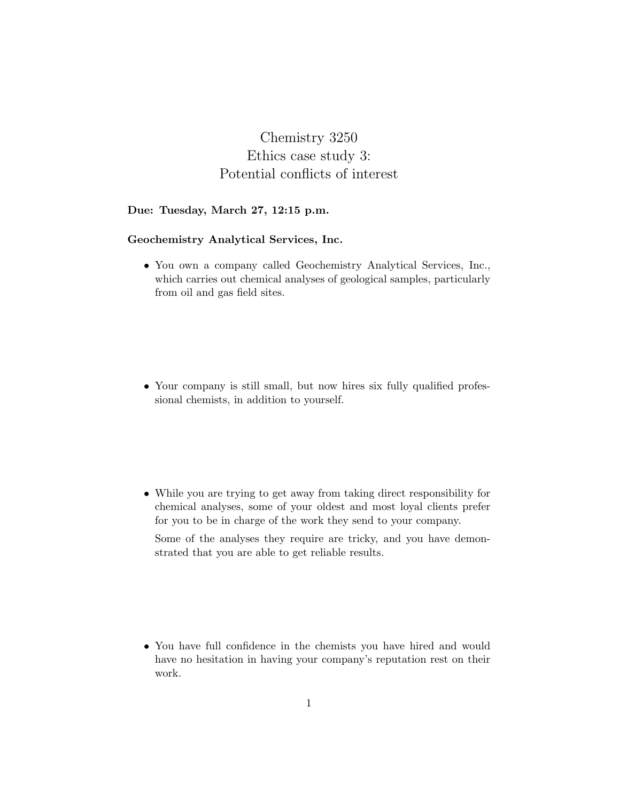# Chemistry 3250 Ethics case study 3: Potential conflicts of interest

#### Due: Tuesday, March 27, 12:15 p.m.

#### Geochemistry Analytical Services, Inc.

• You own a company called Geochemistry Analytical Services, Inc., which carries out chemical analyses of geological samples, particularly from oil and gas field sites.

• Your company is still small, but now hires six fully qualified professional chemists, in addition to yourself.

• While you are trying to get away from taking direct responsibility for chemical analyses, some of your oldest and most loyal clients prefer for you to be in charge of the work they send to your company.

Some of the analyses they require are tricky, and you have demonstrated that you are able to get reliable results.

• You have full confidence in the chemists you have hired and would have no hesitation in having your company's reputation rest on their work.